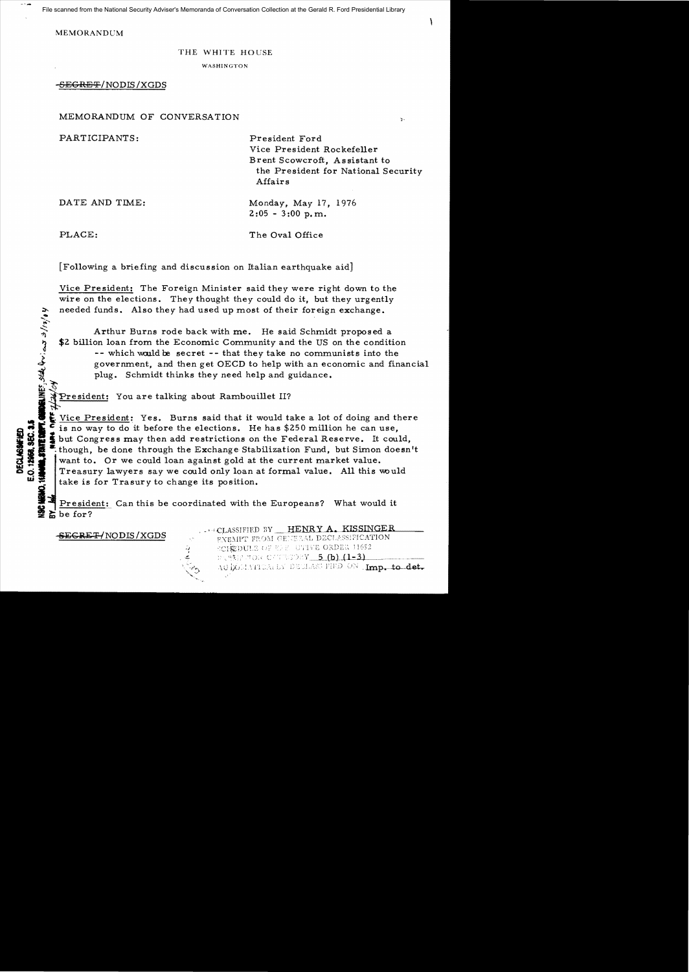File scanned from the National Security Adviser's Memoranda of Conversation Collection at the Gerald R. Ford Presidential Library

MEMORANDCM

## THE WHITE HOUSE

WASHINGTON

-<del>SEGRET</del>/NODIS/XGDS

MEMORANDUM OF CONVERSATION

PARTICIPANTS: President Ford

Vice President Rockefeller Brent Scowcroft, As sistant to the President for National Security Affairs

 $\mathbf{v}$  .

DATE AND TIME: Monday, May 17, 1976  $2:05 - 3:00$  p.m.

**MORANES**, State Qui, en 3/17/04

PLACE: The Oval Office

[Following a briefing and discussion on Italian earthquake aid]

Vice President: The Foreign Minister said they were right down to the wire on the elections. They thought they could do it, but they urgently needed funds. Also they had used up most of their foreign exchange.

Arthur Burns rode back with me. He said Schmidt proposed a \$2 billion loan from the Economic Community and the US on the condition -- which would be secret -- that they take no communists into the government, and then get OECD to help with an economic and financial plug. Schmidt thinks they need help and guidance.

President: You are talking about Rambouillet II?

**.. I**<sup>i</sup>Vice President: Yes. Burns said that it would take a lot of doing and there G E Vice President: Yes. Burns said that it would take a lot of doing and the set is no way to do it before the elections. He has \$250 million he can use, SI IS is no way to do it before the elections. He has \$250 million he can use,<br>since the Congress may then add restrictions on the Federal Reserve. It could,<br>though, be done through the Exchange Stabilization Fund, but Sim though, be done through the Exchange Stabilization Fund, but Simon doesn't want to. Or we could loan against gold at the current market value. Treasury lawyers say we could only loan at formal value. All this would

Here is for Trasury to change its position.<br> **I** President: Can this be coordinated with the Europeans? What would it  $\boldsymbol{\Sigma}$  be for?

-J

SEGRET/NODIS/XGDS

... CLASSIFIED BY HENRY A. KISSINGER EXEMPT FROM GENERAL DECLASSIFICATION

SCHEDULE OF ELE UTIVE ORDER 11652 かく続きさのに CATESのRY <u>- 5 (b)(1-3)</u> AUIXOMATICALLY DECLASS FIED ON Imp. to det.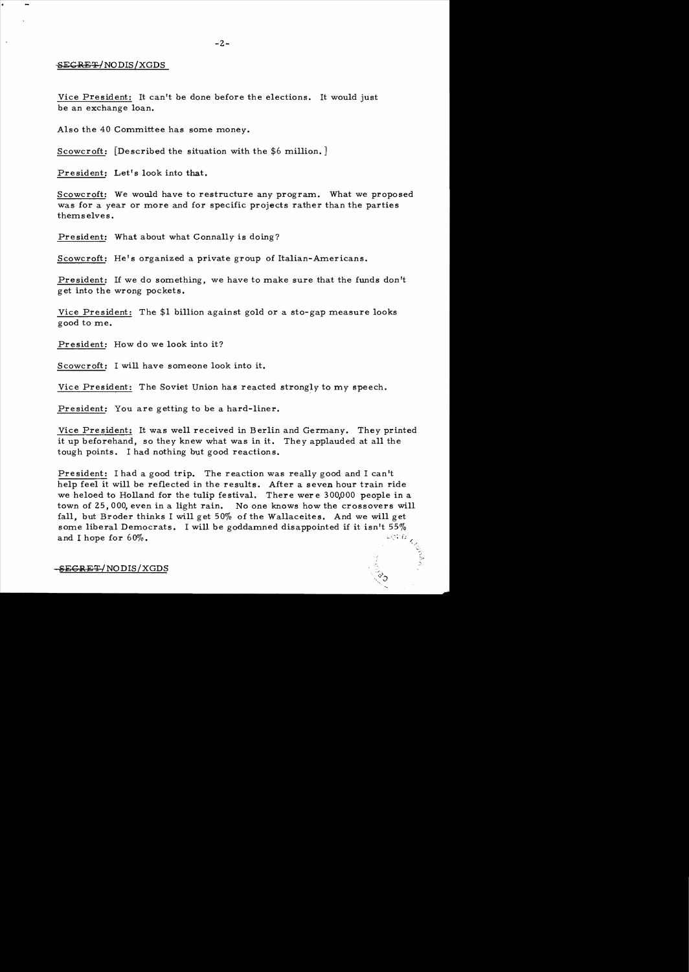## SECRET/NODIS/XGDS

Vice President: It can't be done before the elections. It would just be an exchange loan.

Also the 40 Committee has some money.

Scowcroft: [Described the situation with the \$6 million.]

President: Let's look into that.

Scowcroft: We would have to restructure any program. What we proposed was for a year or more and for specific projects rather than the parties themselves.

President: What about what Connally is doing?

Scowcroft: He's organized a private group of Italian-Americans.

President: If we do something, we have to make sure that the funds don't get into the wrong pockets.

Vice President: The \$1 bi11ion against gold or a sto-gap measure looks good to me.

President: How do we look into it?

Scowcroft: I will have someone look into it.

Vice President: The Soviet Union has reacted strongly to my speech.

President: You are getting to be a hard-liner.

Vice President: It was we11 received in Berlin and Germany. They printed it up beforehand, so they knew what was in it. They applauded at a11 the tough points. I had nothing but good reactions.

President: I had a good trip. The reaction was really good and I can't help feel it wi11 be reflected in the results. After a seven hour train ride we heloed to Holland for the tulip festival. There were 300,000 people in a town of 25,000, even in a light rain. No one knows how the crossovers wi11 fa11, but Broder thinks I wi11 get 50% of the Wa11aceites. And we wi11 get some liberal Democrats. I will be goddamned disappointed if it isn't  $55\%$ and I hope for  $60\%$ .

## SEGRET/NODIS/XGDS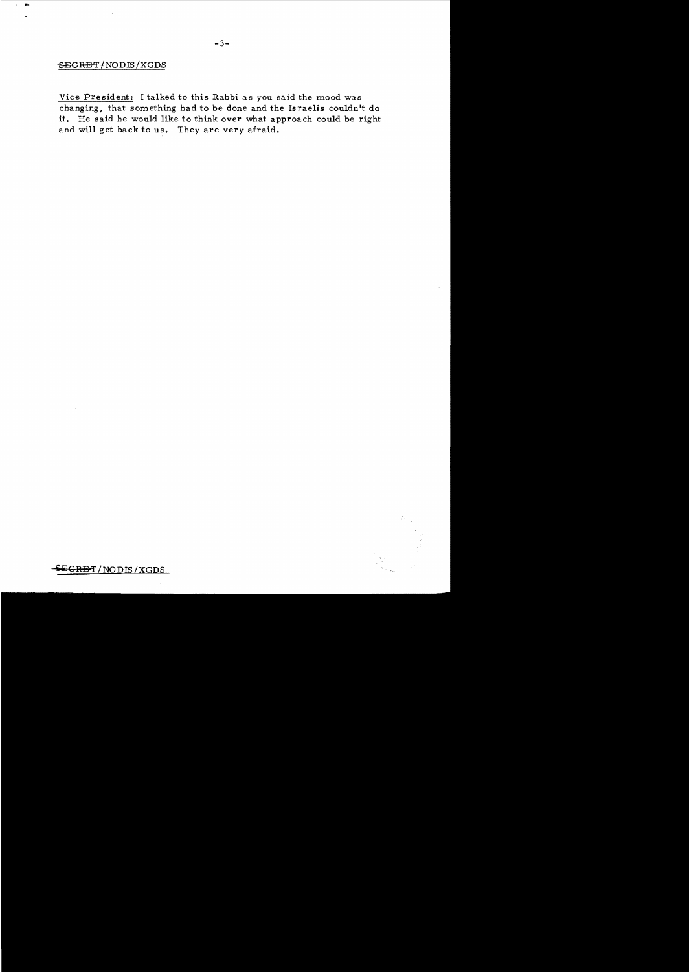## SECRET/NODIS/XGDS

, ...

Vice President: I talked to this Rabbi as you said the mood was changing, that something had to be done and the Israelis couldn't do it. He said he would like to think over what approach could be right and will get back to us. They are *very* afraid.

 $SE$ GR<del>B</del>T/NODIS/XGDS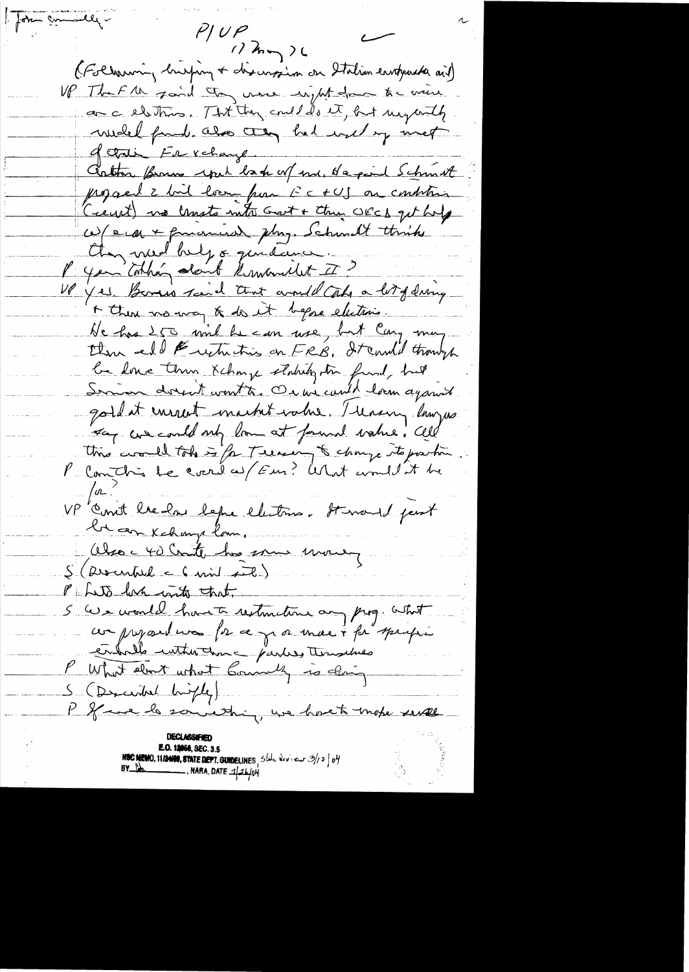for commiller  $P$ UP  $122 - 26$ (Following husping + discursion on Italian envoyanter ail) UP That the faid they were night down to write an a electrics. That they could do it, but my with well fame. also they had used by met of that Fr xchange. Cather Bram work back of me, depend Schink progress 2 bil hvor par EC +US on contrain (rent) no lanste into Got + the OECD get hold W/era + funcion this. Schmitt thinks they med bulg & quidance. P you takking don't knowwelet I ? VP yes Bones raid that and alt a lit of dring A then we are a do it began elections. He has 250 mil he can use, but Cany may there and Euction this on FRB, It could though be love them Kching stabilization find, but Servier dorent wont to Or we could loom against gold at energet machet value. Thereing lawyers say we could not love at formal wakes. Cll this would take is for Treasury to change to position P Comtin le context Fur? What wouldn't be Onit bre has before electrice. It would past the can Kchange lam. Obsoc 40 Conte ho some move,  $S(\text{dversal} \in \text{Gmid} \neq \mathbb{R})$ P Lito lack with that. S'ave would have restouting any prog. what comprehense for ce y a mort for speuper contrato untrodan - parties tempelaes P What about what Commently is ding S (Descended brighty) P If we le sonie thing, we have to mote serve **E.O. 12058, SEC. 3.5**<br>**NOC MEMO, 11/2489, STATE DEPT. GUIDELINES**, State Deview  $2/2$  of BY